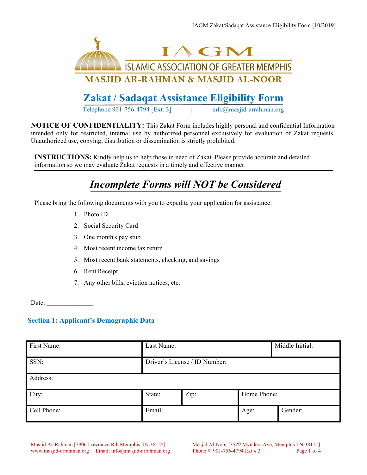

# **Zakat / Sadaqat Assistance Eligibility Form**

Telephone 901-756-4794 [Ext. 3]  $\qquad \qquad$  info@masjid-arrahman.org

**NOTICE OF CONFIDENTIALITY:** This Zakat Form includes highly personal and confidential Information intended only for restricted, internal use by authorized personnel exclusively for evaluation of Zakat requests. Unauthorized use, copying, distribution or dissemination is strictly prohibited.

**INSTRUCTIONS:** Kindly help us to help those in need of Zakat. Please provide accurate and detailed information so we may evaluate Zakat requests in a timely and effective manner.

# *Incomplete Forms will NOT be Considered*

Please bring the following documents with you to expedite your application for assistance:

- 1. Photo ID
- 2. Social Security Card
- 3. One month's pay stub
- 4. Most recent income tax return
- 5. Most recent bank statements, checking, and savings
- 6. Rent Receipt
- 7. Any other bills, eviction notices, etc.

Date:

# **Section 1: Applicant's Demographic Data**

| First Name: | Last Name:                    |      | Middle Initial: |         |
|-------------|-------------------------------|------|-----------------|---------|
| SSN:        | Driver's License / ID Number: |      |                 |         |
| Address:    |                               |      |                 |         |
| City:       | State:                        | Zip: | Home Phone:     |         |
| Cell Phone: | Email:                        |      | Age:            | Gender: |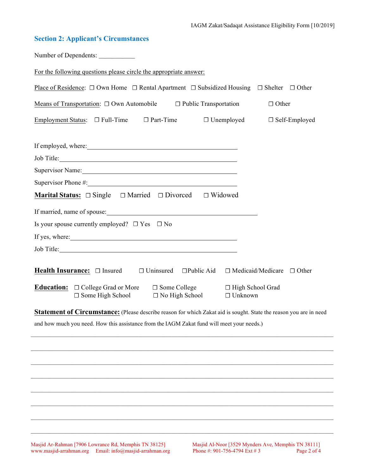# **Section 2: Applicant's Circumstances**

| Number of Dependents:                                                                                                                                                                                                          |
|--------------------------------------------------------------------------------------------------------------------------------------------------------------------------------------------------------------------------------|
| For the following questions please circle the appropriate answer:                                                                                                                                                              |
| Place of Residence: $\Box$ Own Home $\Box$ Rental Apartment $\Box$ Subsidized Housing $\Box$ Shelter $\Box$ Other                                                                                                              |
| Means of Transportation: $\Box$ Own Automobile $\Box$ Public Transportation<br>$\Box$ Other                                                                                                                                    |
| Employment Status: $\Box$ Full-Time $\Box$ Part-Time<br>$\Box$ Unemployed<br>$\Box$ Self-Employed                                                                                                                              |
|                                                                                                                                                                                                                                |
|                                                                                                                                                                                                                                |
| Job Title:                                                                                                                                                                                                                     |
| Supervisor Name: 2008 and 2008 and 2008 and 2008 and 2008 and 2008 and 2008 and 2008 and 2008 and 2008 and 200                                                                                                                 |
| Supervisor Phone #: 1999 March 2012 1999 March 2014 1999 March 2014 1999 March 2014 1999 March 2014 1999 March 2014 1999 March 2014 1999 March 2014 1999 March 2014 1999 March 2014 1999 March 2014 1999 March 2014 1999 March |
| <b>Marital Status:</b> $\Box$ Single $\Box$ Married $\Box$ Divorced $\Box$ Widowed                                                                                                                                             |
|                                                                                                                                                                                                                                |
| Is your spouse currently employed? $\Box$ Yes $\Box$ No                                                                                                                                                                        |
| If yes, where: <u>the contract of the contract of the contract of the contract of the contract of the contract of</u>                                                                                                          |
|                                                                                                                                                                                                                                |
|                                                                                                                                                                                                                                |
| Health Insurance: □ Insured □ Uninsured □ Public Aid □ Medicaid/Medicare □ Other                                                                                                                                               |
| <b>Education:</b> □ College Grad or More □ Some College □ High School Grad                                                                                                                                                     |
|                                                                                                                                                                                                                                |
| □ Some High School<br>$\Box$ No High School $\Box$ Unknown                                                                                                                                                                     |
| <b>Statement of Circumstance:</b> (Please describe reason for which Zakat aid is sought. State the reason you are in need                                                                                                      |
| and how much you need. How this assistance from the IAGM Zakat fund will meet your needs.)                                                                                                                                     |
|                                                                                                                                                                                                                                |
|                                                                                                                                                                                                                                |
|                                                                                                                                                                                                                                |
|                                                                                                                                                                                                                                |
|                                                                                                                                                                                                                                |
|                                                                                                                                                                                                                                |
|                                                                                                                                                                                                                                |

Masjid Ar-Rahman [7906 Lowrance Rd, Memphis TN 38125] Masjid Al-Noor [3529 Mynders Ave, Memphis TN 38111] www.masjid-arrahman.org Email: info@masjid-arrahman.org Phone #: 901-756-4794 Ext # 3 Page 2 of 4 www.masjid-arrahman.org Email: info@masjid-arrahman.org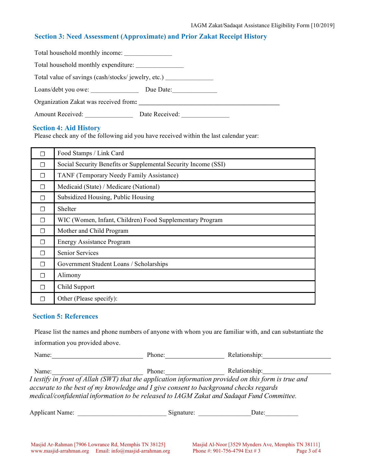# **Section 3: Need Assessment (Approximate) and Prior Zakat Receipt History**

| Total household monthly income:                    |                |
|----------------------------------------------------|----------------|
| Total household monthly expenditure:               |                |
| Total value of savings (cash/stocks/jewelry, etc.) |                |
| Loans/debt you owe:                                | Due Date:      |
| Organization Zakat was received from:              |                |
| Amount Received:                                   | Date Received: |

#### **Section 4: Aid History**

Please check any of the following aid you have received within the last calendar year:

|   | Food Stamps / Link Card                                        |
|---|----------------------------------------------------------------|
| П | Social Security Benefits or Supplemental Security Income (SSI) |
| П | TANF (Temporary Needy Family Assistance)                       |
| П | Medicaid (State) / Medicare (National)                         |
| П | Subsidized Housing, Public Housing                             |
| П | Shelter                                                        |
| П | WIC (Women, Infant, Children) Food Supplementary Program       |
| П | Mother and Child Program                                       |
| П | <b>Energy Assistance Program</b>                               |
| П | <b>Senior Services</b>                                         |
| П | Government Student Loans / Scholarships                        |
| П | Alimony                                                        |
| П | Child Support                                                  |
|   | Other (Please specify):                                        |

### **Section 5: References**

Please list the names and phone numbers of anyone with whom you are familiar with, and can substantiate the information you provided above.

| Name:                                                                                | Phone: | Relationship:                                                                                        |  |
|--------------------------------------------------------------------------------------|--------|------------------------------------------------------------------------------------------------------|--|
| Name:                                                                                | Phone: | Relationship:                                                                                        |  |
|                                                                                      |        | I testify in front of Allah (SWT) that the application information provided on this form is true and |  |
| accurate to the best of my knowledge and I give consent to background checks regards |        |                                                                                                      |  |
|                                                                                      |        | medical/confidential information to be released to IAGM Zakat and Sadagat Fund Committee.            |  |
|                                                                                      |        |                                                                                                      |  |

| Applicant Name: | snature |  |
|-----------------|---------|--|
|                 |         |  |